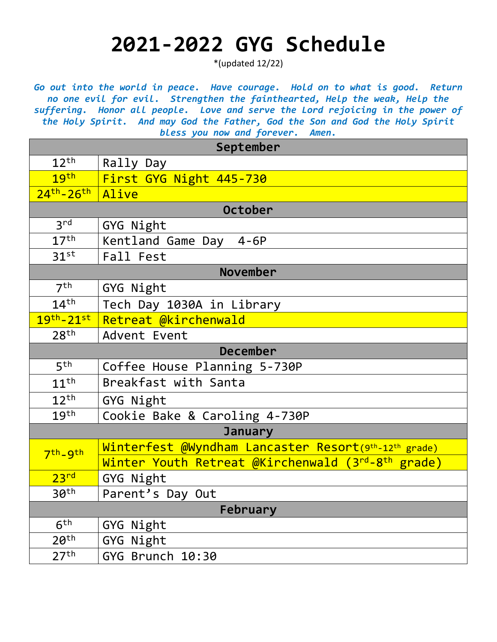## **2021-2022 GYG Schedule**

\*(updated 12/22)

Go out into the world in peace. Have courage. Hold on to what is good. Return *no one evil for evil. Strengthen the fainthearted, Help the weak, Help the suffering. Honor all people. Love and serve the Lord rejoicing in the power of the Holy Spirit. And may God the Father, God the Son and God the Holy Spirit bless you now and forever. Amen.*

| $\frac{1}{2}$ and $\frac{1}{2}$ and $\frac{1}{2}$ and $\frac{1}{2}$ and $\frac{1}{2}$<br>September |                                                               |  |
|----------------------------------------------------------------------------------------------------|---------------------------------------------------------------|--|
| $12^{th}$                                                                                          | Rally Day                                                     |  |
| 19 <sup>th</sup>                                                                                   | First GYG Night 445-730                                       |  |
| $24$ <sup>th</sup> - $26$ <sup>th</sup>                                                            | Alive                                                         |  |
| October                                                                                            |                                                               |  |
| 3 <sup>rd</sup>                                                                                    | GYG Night                                                     |  |
| 17 <sup>th</sup>                                                                                   | Kentland Game Day 4-6P                                        |  |
| 31 <sup>st</sup>                                                                                   | Fall Fest                                                     |  |
| <b>November</b>                                                                                    |                                                               |  |
| 7 <sup>th</sup>                                                                                    | GYG Night                                                     |  |
| 14 <sup>th</sup>                                                                                   | Tech Day 1030A in Library                                     |  |
| $19th - 21st$                                                                                      | Retreat @kirchenwald                                          |  |
| 28 <sup>th</sup>                                                                                   | Advent Event                                                  |  |
| <b>December</b>                                                                                    |                                                               |  |
| 5 <sup>th</sup>                                                                                    | Coffee House Planning 5-730P                                  |  |
| $11^{\text{th}}$                                                                                   | Breakfast with Santa                                          |  |
| $12^{th}$                                                                                          | GYG Night                                                     |  |
| 19 <sup>th</sup>                                                                                   | Cookie Bake & Caroling 4-730P                                 |  |
| <b>January</b>                                                                                     |                                                               |  |
| 7th_gth                                                                                            | Winterfest @Wyndham Lancaster Resort(9th-12th grade)          |  |
|                                                                                                    | Winter Youth Retreat @Kirchenwald (3rd-8 <sup>th</sup> grade) |  |
| 23 <sup>rd</sup>                                                                                   | GYG Night                                                     |  |
| 30th                                                                                               | Parent's Day Out                                              |  |
| February                                                                                           |                                                               |  |
| 6 <sup>th</sup>                                                                                    | GYG Night                                                     |  |
| 20 <sup>th</sup>                                                                                   | GYG Night                                                     |  |
| 27 <sup>th</sup>                                                                                   | GYG Brunch 10:30                                              |  |